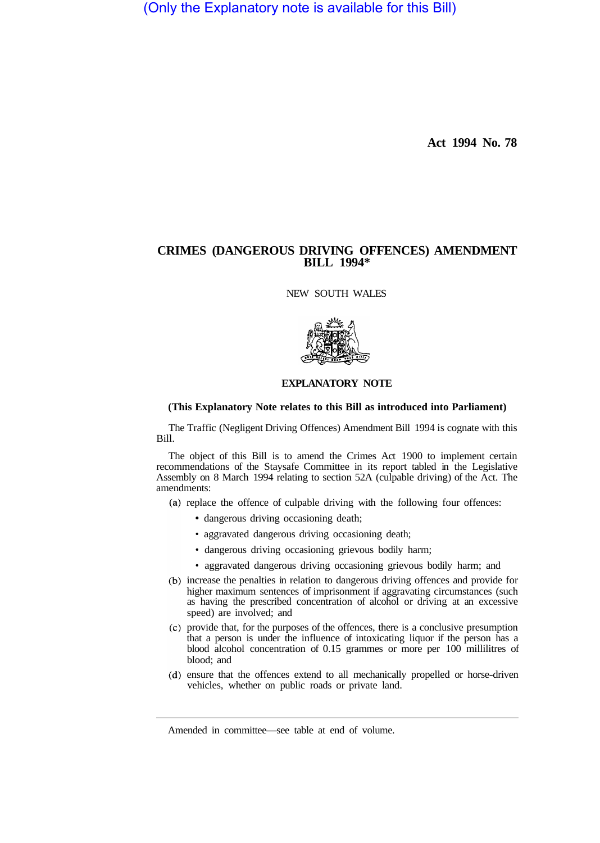(Only the Explanatory note is available for this Bill)

**Act 1994 No. 78** 

## **CRIMES (DANGEROUS DRIVING OFFENCES) AMENDMENT BILL 1994\***

NEW SOUTH WALES



## **EXPLANATORY NOTE**

## **(This Explanatory Note relates to this Bill as introduced into Parliament)**

The Traffic (Negligent Driving Offences) Amendment Bill 1994 is cognate with this Bill.

The object of this Bill is to amend the Crimes Act 1900 to implement certain recommendations of the Staysafe Committee in its report tabled in the Legislative Assembly on 8 March 1994 relating to section 52A (culpable driving) of the Act. The amendments:

- (a) replace the offence of culpable driving with the following four offences:
	- dangerous driving occasioning death;
	- aggravated dangerous driving occasioning death;
	- dangerous driving occasioning grievous bodily harm;
	- aggravated dangerous driving occasioning grievous bodily harm; and
- (b) increase the penalties in relation to dangerous driving offences and provide for higher maximum sentences of imprisonment if aggravating circumstances (such as having the prescribed concentration of alcohol or driving at an excessive speed) are involved; and
- provide that, for the purposes of the offences, there is a conclusive presumption that a person is under the influence of intoxicating liquor if the person has a blood alcohol concentration of 0.15 grammes or more per 100 millilitres of blood; and
- (d) ensure that the offences extend to all mechanically propelled or horse-driven vehicles, whether on public roads or private land.

Amended in committee—see table at end of volume.